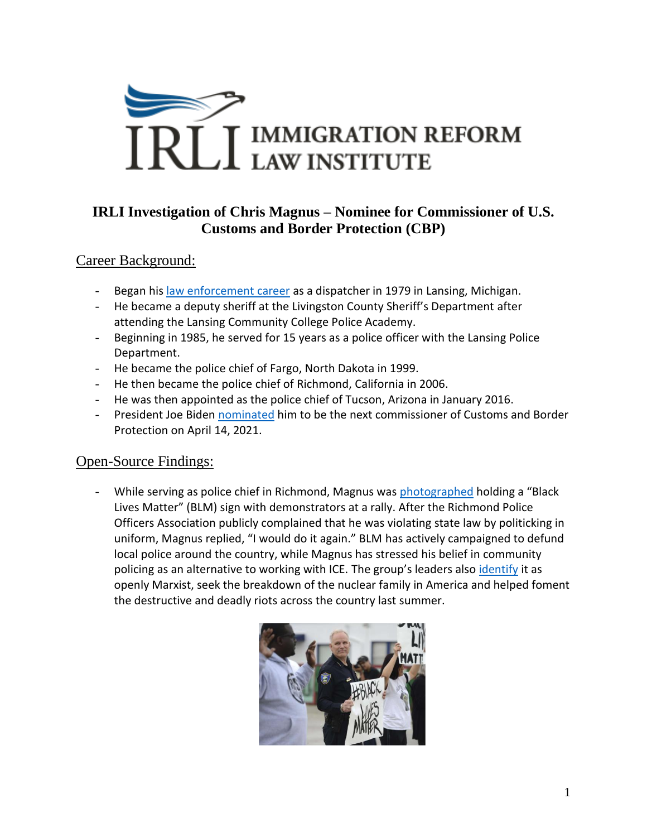

## **IRLI Investigation of Chris Magnus – Nominee for Commissioner of U.S. Customs and Border Protection (CBP)**

## Career Background:

- Began his [law enforcement career](https://www.tucsonaz.gov/police/chief-police-chris-magnus) as a dispatcher in 1979 in Lansing, Michigan.
- He became a deputy sheriff at the Livingston County Sheriff's Department after attending the Lansing Community College Police Academy.
- Beginning in 1985, he served for 15 years as a police officer with the Lansing Police Department.
- He became the police chief of Fargo, North Dakota in 1999.
- He then became the police chief of Richmond, California in 2006.
- He was then appointed as the police chief of Tucson, Arizona in January 2016.
- President Joe Biden [nominated](https://www.politico.com/news/2021/04/12/biden-chris-magnus-cbp-480947) him to be the next commissioner of Customs and Border Protection on April 14, 2021.

## Open-Source Findings:

While serving as police chief in Richmond, Magnus was [photographed](https://www.sfgate.com/bayarea/matier-ross/article/Richmond-Police-Chief-Magnus-says-he-d-hold-5959053.php) holding a "Black Lives Matter" (BLM) sign with demonstrators at a rally. After the Richmond Police Officers Association publicly complained that he was violating state law by politicking in uniform, Magnus replied, "I would do it again." BLM has actively campaigned to defund local police around the country, while Magnus has stressed his belief in community policing as an alternative to working with ICE. The group's leaders also *[identify](https://www.heritage.org/progressivism/commentary/the-agenda-black-lives-matter-far-different-the-slogan)* it as openly Marxist, seek the breakdown of the nuclear family in America and helped foment the destructive and deadly riots across the country last summer.

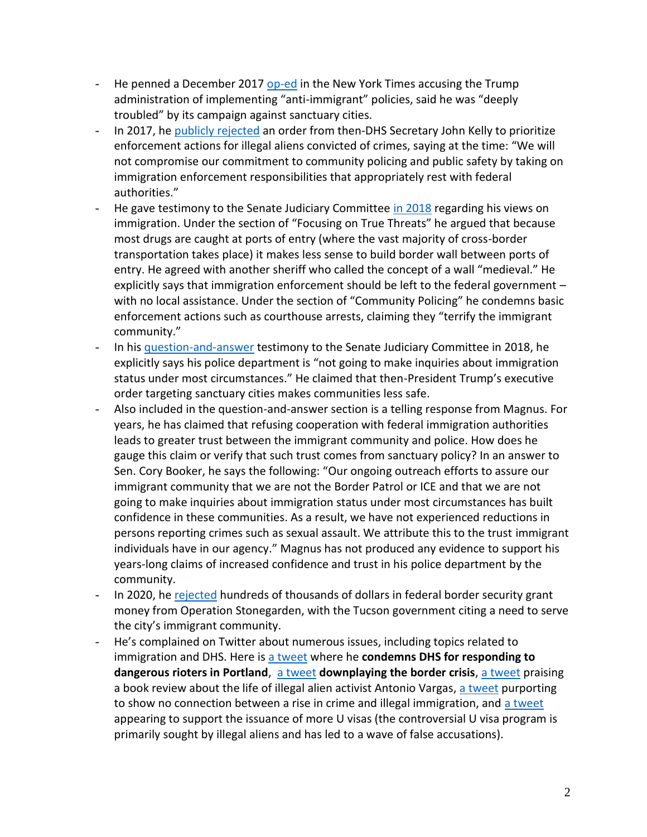- He penned a December 2017 [op-ed](https://www.nytimes.com/2017/12/06/opinion/tucson-police-immigration-jeff-sessions.html) in the New York Times accusing the Trump administration of implementing "anti-immigrant" policies, said he was "deeply troubled" by its campaign against sanctuary cities.
- In 2017, he [publicly rejected](https://www.azcentral.com/story/news/politics/immigration/2017/02/22/arizona-police-agencies-not-volunteering-more-immigration-enforcement-responsibilities/98226040/) an order from then-DHS Secretary John Kelly to prioritize enforcement actions for illegal aliens convicted of crimes, saying at the time: "We will not compromise our commitment to community policing and public safety by taking on immigration enforcement responsibilities that appropriately rest with federal authorities."
- He gave testimony to the Senate Judiciary Committee [in 2018](https://www.judiciary.senate.gov/imo/media/doc/12-12-18%20Magnus%20Testimony.pdf) regarding his views on immigration. Under the section of "Focusing on True Threats" he argued that because most drugs are caught at ports of entry (where the vast majority of cross-border transportation takes place) it makes less sense to build border wall between ports of entry. He agreed with another sheriff who called the concept of a wall "medieval." He explicitly says that immigration enforcement should be left to the federal government – with no local assistance. Under the section of "Community Policing" he condemns basic enforcement actions such as courthouse arrests, claiming they "terrify the immigrant community."
- In his [question-and-answer](https://www.judiciary.senate.gov/imo/media/doc/Magnus%20Responses%20to%20QFRs.pdf) testimony to the Senate Judiciary Committee in 2018, he explicitly says his police department is "not going to make inquiries about immigration status under most circumstances." He claimed that then-President Trump's executive order targeting sanctuary cities makes communities less safe.
- Also included in the question-and-answer section is a telling response from Magnus. For years, he has claimed that refusing cooperation with federal immigration authorities leads to greater trust between the immigrant community and police. How does he gauge this claim or verify that such trust comes from sanctuary policy? In an answer to Sen. Cory Booker, he says the following: "Our ongoing outreach efforts to assure our immigrant community that we are not the Border Patrol or ICE and that we are not going to make inquiries about immigration status under most circumstances has built confidence in these communities. As a result, we have not experienced reductions in persons reporting crimes such as sexual assault. We attribute this to the trust immigrant individuals have in our agency." Magnus has not produced any evidence to support his years-long claims of increased confidence and trust in his police department by the community.
- In 2020, he [rejected](https://tucson.com/news/local/tucson-police-to-quit-taking-funds-from-federal-border-security-grant/article_a7e5d96e-ee26-5a40-a136-eb16ae47bbd5.html) hundreds of thousands of dollars in federal border security grant money from Operation Stonegarden, with the Tucson government citing a need to serve the city's immigrant community.
- He's complained on Twitter about numerous issues, including topics related to immigration and DHS. Here is [a tweet](https://twitter.com/ChiefCMagnus/status/1284241796260720640) where he **condemns DHS for responding to**  dangerous rioters in Portland, [a tweet](https://twitter.com/ChiefCMagnus/status/1084237952673173504) downplaying the border crisis, [a tweet](https://twitter.com/ChiefCMagnus/status/1094452750539091968) praising a book review about the life of illegal alien activist Antonio Vargas, [a tweet](https://twitter.com/ChiefCMagnus/status/1128083638560550912) purporting to show no connection between a rise in crime and illegal immigration, and [a tweet](https://twitter.com/ChiefCMagnus/status/1130847034242732032) appearing to support the issuance of more U visas (the controversial U visa program is primarily sought by illegal aliens and has led to a wave of false accusations).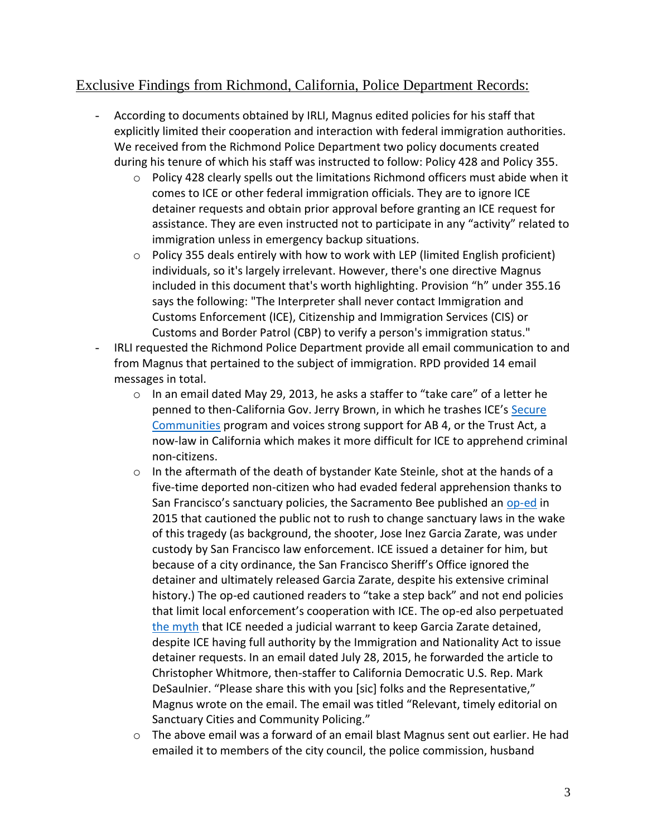## Exclusive Findings from Richmond, California, Police Department Records:

- According to documents obtained by IRLI, Magnus edited policies for his staff that explicitly limited their cooperation and interaction with federal immigration authorities. We received from the Richmond Police Department two policy documents created during his tenure of which his staff was instructed to follow: Policy 428 and Policy 355.
	- $\circ$  Policy 428 clearly spells out the limitations Richmond officers must abide when it comes to ICE or other federal immigration officials. They are to ignore ICE detainer requests and obtain prior approval before granting an ICE request for assistance. They are even instructed not to participate in any "activity" related to immigration unless in emergency backup situations.
	- o Policy 355 deals entirely with how to work with LEP (limited English proficient) individuals, so it's largely irrelevant. However, there's one directive Magnus included in this document that's worth highlighting. Provision "h" under 355.16 says the following: "The Interpreter shall never contact Immigration and Customs Enforcement (ICE), Citizenship and Immigration Services (CIS) or Customs and Border Patrol (CBP) to verify a person's immigration status."
- IRLI requested the Richmond Police Department provide all email communication to and from Magnus that pertained to the subject of immigration. RPD provided 14 email messages in total.
	- o In an email dated May 29, 2013, he asks a staffer to "take care" of a letter he penned to then-California Gov. Jerry Brown, in which he trashes ICE's Secure [Communities](https://www.ice.gov/secure-communities) program and voices strong support for AB 4, or the Trust Act, a now-law in California which makes it more difficult for ICE to apprehend criminal non-citizens.
	- $\circ$  In the aftermath of the death of bystander Kate Steinle, shot at the hands of a five-time deported non-citizen who had evaded federal apprehension thanks to San Francisco's sanctuary policies, the Sacramento Bee published an [op-ed](https://www.sacbee.com/opinion/op-ed/soapbox/article28641010.html) in 2015 that cautioned the public not to rush to change sanctuary laws in the wake of this tragedy (as background, the shooter, Jose Inez Garcia Zarate, was under custody by San Francisco law enforcement. ICE issued a detainer for him, but because of a city ordinance, the San Francisco Sheriff's Office ignored the detainer and ultimately released Garcia Zarate, despite his extensive criminal history.) The op-ed cautioned readers to "take a step back" and not end policies that limit local enforcement's cooperation with ICE. The op-ed also perpetuated [the myth](https://dailycaller.com/2019/08/28/immigration-experts-montgomery-county-sanctuary/) that ICE needed a judicial warrant to keep Garcia Zarate detained, despite ICE having full authority by the Immigration and Nationality Act to issue detainer requests. In an email dated July 28, 2015, he forwarded the article to Christopher Whitmore, then-staffer to California Democratic U.S. Rep. Mark DeSaulnier. "Please share this with you [sic] folks and the Representative," Magnus wrote on the email. The email was titled "Relevant, timely editorial on Sanctuary Cities and Community Policing."
	- o The above email was a forward of an email blast Magnus sent out earlier. He had emailed it to members of the city council, the police commission, husband